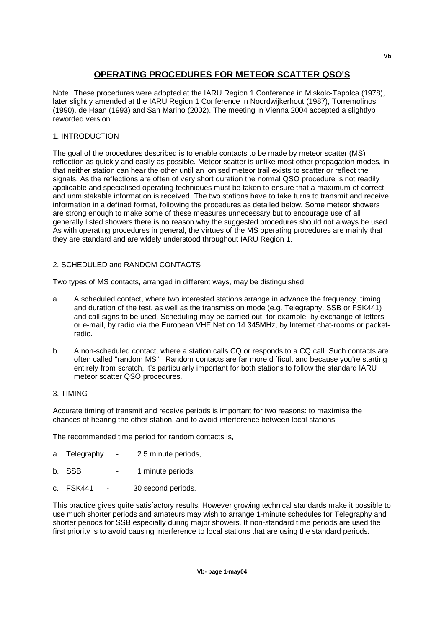# **OPERATING PROCEDURES FOR METEOR SCATTER QSO'S**

Note. These procedures were adopted at the IARU Region 1 Conference in Miskolc-Tapolca (1978), later slightly amended at the IARU Region 1 Conference in Noordwijkerhout (1987), Torremolinos (1990), de Haan (1993) and San Marino (2002). The meeting in Vienna 2004 accepted a slightlyb reworded version.

# 1. INTRODUCTION

The goal of the procedures described is to enable contacts to be made by meteor scatter (MS) reflection as quickly and easily as possible. Meteor scatter is unlike most other propagation modes, in that neither station can hear the other until an ionised meteor trail exists to scatter or reflect the signals. As the reflections are often of very short duration the normal QSO procedure is not readily applicable and specialised operating techniques must be taken to ensure that a maximum of correct and unmistakable information is received. The two stations have to take turns to transmit and receive information in a defined format, following the procedures as detailed below. Some meteor showers are strong enough to make some of these measures unnecessary but to encourage use of all generally listed showers there is no reason why the suggested procedures should not always be used. As with operating procedures in general, the virtues of the MS operating procedures are mainly that they are standard and are widely understood throughout IARU Region 1.

# 2. SCHEDULED and RANDOM CONTACTS

Two types of MS contacts, arranged in different ways, may be distinguished:

- a. A scheduled contact, where two interested stations arrange in advance the frequency, timing and duration of the test, as well as the transmission mode (e.g. Telegraphy, SSB or FSK441) and call signs to be used. Scheduling may be carried out, for example, by exchange of letters or e-mail, by radio via the European VHF Net on 14.345MHz, by Internet chat-rooms or packetradio.
- b. A non-scheduled contact, where a station calls CQ or responds to a CQ call. Such contacts are often called "random MS". Random contacts are far more difficult and because you're starting entirely from scratch, it's particularly important for both stations to follow the standard IARU meteor scatter QSO procedures.

## 3. TIMING

Accurate timing of transmit and receive periods is important for two reasons: to maximise the chances of hearing the other station, and to avoid interference between local stations.

The recommended time period for random contacts is,

- a. Telegraphy 2.5 minute periods,
- b. SSB 1 minute periods,
- c. FSK441 30 second periods.

This practice gives quite satisfactory results. However growing technical standards make it possible to use much shorter periods and amateurs may wish to arrange 1-minute schedules for Telegraphy and shorter periods for SSB especially during major showers. If non-standard time periods are used the first priority is to avoid causing interference to local stations that are using the standard periods.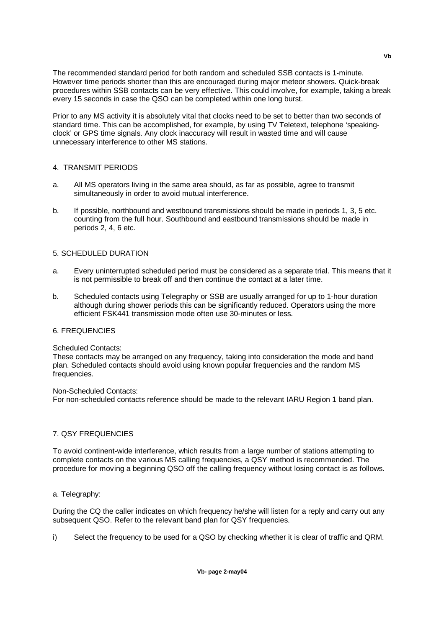The recommended standard period for both random and scheduled SSB contacts is 1-minute. However time periods shorter than this are encouraged during major meteor showers. Quick-break procedures within SSB contacts can be very effective. This could involve, for example, taking a break every 15 seconds in case the QSO can be completed within one long burst.

Prior to any MS activity it is absolutely vital that clocks need to be set to better than two seconds of standard time. This can be accomplished, for example, by using TV Teletext, telephone 'speakingclock' or GPS time signals. Any clock inaccuracy will result in wasted time and will cause unnecessary interference to other MS stations.

## 4. TRANSMIT PERIODS

- a. All MS operators living in the same area should, as far as possible, agree to transmit simultaneously in order to avoid mutual interference.
- b. If possible, northbound and westbound transmissions should be made in periods 1, 3, 5 etc. counting from the full hour. Southbound and eastbound transmissions should be made in periods 2, 4, 6 etc.

# 5. SCHEDULED DURATION

- a. Every uninterrupted scheduled period must be considered as a separate trial. This means that it is not permissible to break off and then continue the contact at a later time.
- b. Scheduled contacts using Telegraphy or SSB are usually arranged for up to 1-hour duration although during shower periods this can be significantly reduced. Operators using the more efficient FSK441 transmission mode often use 30-minutes or less.

# 6. FREQUENCIES

#### Scheduled Contacts:

These contacts may be arranged on any frequency, taking into consideration the mode and band plan. Scheduled contacts should avoid using known popular frequencies and the random MS frequencies.

#### Non-Scheduled Contacts:

For non-scheduled contacts reference should be made to the relevant IARU Region 1 band plan.

## 7. QSY FREQUENCIES

To avoid continent-wide interference, which results from a large number of stations attempting to complete contacts on the various MS calling frequencies, a QSY method is recommended. The procedure for moving a beginning QSO off the calling frequency without losing contact is as follows.

## a. Telegraphy:

During the CQ the caller indicates on which frequency he/she will listen for a reply and carry out any subsequent QSO. Refer to the relevant band plan for QSY frequencies.

i) Select the frequency to be used for a QSO by checking whether it is clear of traffic and QRM.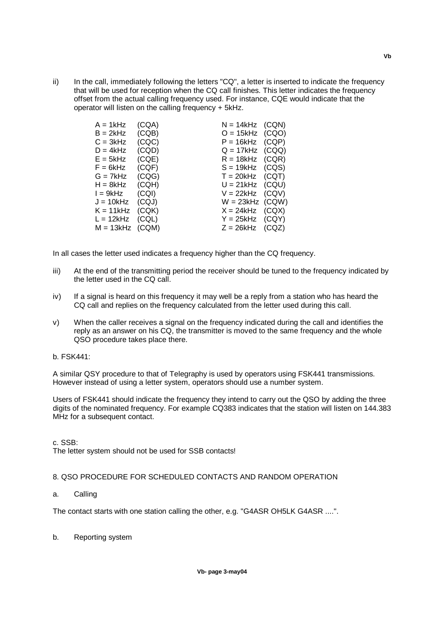ii) In the call, immediately following the letters "CQ", a letter is inserted to indicate the frequency that will be used for reception when the CQ call finishes. This letter indicates the frequency offset from the actual calling frequency used. For instance, CQE would indicate that the operator will listen on the calling frequency + 5kHz.

| (CQA) | $N = 14kHz$ (CQN) |       |
|-------|-------------------|-------|
| (CQB) | $O = 15kHz$ (CQO) |       |
| (CQC) | $P = 16kHz$ (CQP) |       |
| (CQD) | $Q = 17kHz$ (CQQ) |       |
| (CQE) | $R = 18kHz$ (CQR) |       |
| (CQF) | $S = 19kHz$ (CQS) |       |
| (CQG) | $T = 20kHz$ (CQT) |       |
| (CQH) | $U = 21kHz$ (CQU) |       |
| (CQI) | $V = 22kHz$ (CQV) |       |
| (CQJ) | $W = 23kHz$ (CQW) |       |
| (CQK) | $X = 24kHz$       | (CQX) |
| (CQL) | $Y = 25kHz$ (CQY) |       |
|       | $Z = 26kHz$       | (CQZ) |
|       | $M = 13kHz$ (CQM) |       |

In all cases the letter used indicates a frequency higher than the CQ frequency.

- iii) At the end of the transmitting period the receiver should be tuned to the frequency indicated by the letter used in the CQ call.
- iv) If a signal is heard on this frequency it may well be a reply from a station who has heard the CQ call and replies on the frequency calculated from the letter used during this call.
- v) When the caller receives a signal on the frequency indicated during the call and identifies the reply as an answer on his CQ, the transmitter is moved to the same frequency and the whole QSO procedure takes place there.

#### b. FSK441:

A similar QSY procedure to that of Telegraphy is used by operators using FSK441 transmissions. However instead of using a letter system, operators should use a number system.

Users of FSK441 should indicate the frequency they intend to carry out the QSO by adding the three digits of the nominated frequency. For example CQ383 indicates that the station will listen on 144.383 MHz for a subsequent contact.

c. SSB:

The letter system should not be used for SSB contacts!

## 8. QSO PROCEDURE FOR SCHEDULED CONTACTS AND RANDOM OPERATION

a. Calling

The contact starts with one station calling the other, e.g. "G4ASR OH5LK G4ASR ....".

b. Reporting system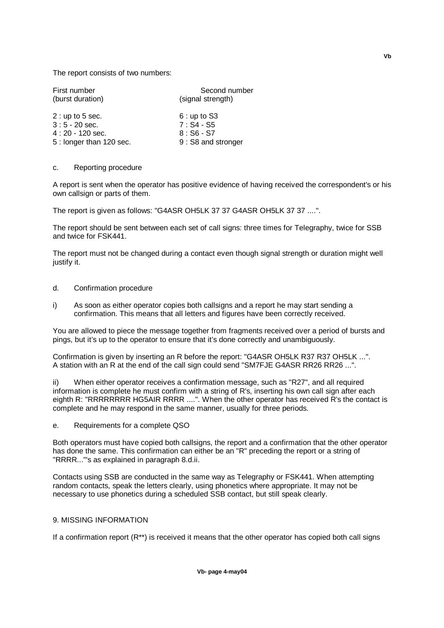The report consists of two numbers:

| First number            | Second number      |
|-------------------------|--------------------|
| (burst duration)        | (signal strength)  |
| $2:$ up to 5 sec.       | $6:$ up to S3      |
| $3:5 - 20$ sec.         | $7: S4 - S5$       |
| $4:20 - 120$ sec.       | $8:$ S6 - S7       |
| 5: longer than 120 sec. | 9: S8 and stronger |

#### c. Reporting procedure

A report is sent when the operator has positive evidence of having received the correspondent's or his own callsign or parts of them.

The report is given as follows: "G4ASR OH5LK 37 37 G4ASR OH5LK 37 37 ....".

The report should be sent between each set of call signs: three times for Telegraphy, twice for SSB and twice for FSK441.

The report must not be changed during a contact even though signal strength or duration might well justify it.

#### d. Confirmation procedure

i) As soon as either operator copies both callsigns and a report he may start sending a confirmation. This means that all letters and figures have been correctly received.

You are allowed to piece the message together from fragments received over a period of bursts and pings, but it's up to the operator to ensure that it's done correctly and unambiguously.

Confirmation is given by inserting an R before the report: "G4ASR OH5LK R37 R37 OH5LK ...". A station with an R at the end of the call sign could send "SM7FJE G4ASR RR26 RR26 ...".

ii) When either operator receives a confirmation message, such as "R27", and all required information is complete he must confirm with a string of R's, inserting his own call sign after each eighth R: "RRRRRRRR HG5AIR RRRR ....". When the other operator has received R's the contact is complete and he may respond in the same manner, usually for three periods.

e. Requirements for a complete QSO

Both operators must have copied both callsigns, the report and a confirmation that the other operator has done the same. This confirmation can either be an "R" preceding the report or a string of "RRRR..."'s as explained in paragraph 8.d.ii.

Contacts using SSB are conducted in the same way as Telegraphy or FSK441. When attempting random contacts, speak the letters clearly, using phonetics where appropriate. It may not be necessary to use phonetics during a scheduled SSB contact, but still speak clearly.

# 9. MISSING INFORMATION

If a confirmation report  $(R^{**})$  is received it means that the other operator has copied both call signs